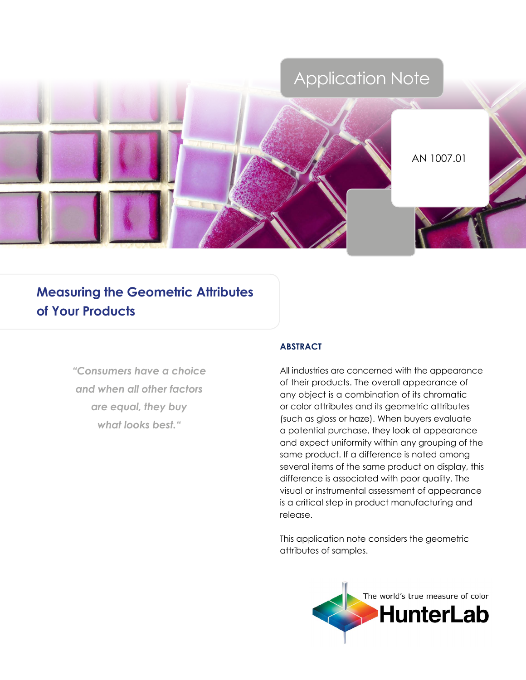

# **Measuring the Geometric Attributes of Your Products**

*"Consumers have a choice and when all other factors are equal, they buy what looks best."*

# **Abstract**

All industries are concerned with the appearance of their products. The overall appearance of any object is a combination of its chromatic or color attributes and its geometric attributes (such as gloss or haze). When buyers evaluate a potential purchase, they look at appearance and expect uniformity within any grouping of the same product. If a difference is noted among several items of the same product on display, this difference is associated with poor quality. The visual or instrumental assessment of appearance is a critical step in product manufacturing and release.

This application note considers the geometric attributes of samples.

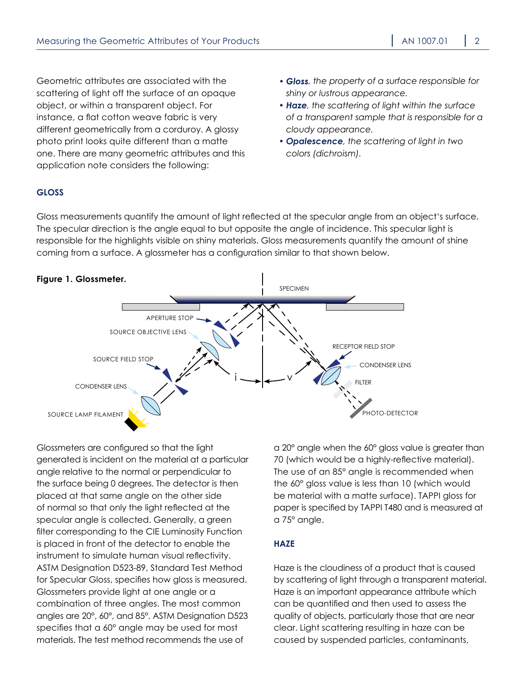Geometric attributes are associated with the scattering of light off the surface of an opaque object, or within a transparent object. For instance, a flat cotton weave fabric is very different geometrically from a corduroy. A glossy photo print looks quite different than a matte one. There are many geometric attributes and this application note considers the following:

- *• Gloss, the property of a surface responsible for shiny or lustrous appearance.*
- *• Haze, the scattering of light within the surface of a transparent sample that is responsible for a cloudy appearance.*
- *• Opalescence, the scattering of light in two colors (dichroism).*

# **Gloss**

Gloss measurements quantify the amount of light reflected at the specular angle from an object's surface. The specular direction is the angle equal to but opposite the angle of incidence. This specular light is responsible for the highlights visible on shiny materials. Gloss measurements quantify the amount of shine coming from a surface. A glossmeter has a configuration similar to that shown below.



Glossmeters are configured so that the light generated is incident on the material at a particular angle relative to the normal or perpendicular to the surface being 0 degrees. The detector is then placed at that same angle on the other side of normal so that only the light reflected at the specular angle is collected. Generally, a green filter corresponding to the CIE Luminosity Function is placed in front of the detector to enable the instrument to simulate human visual reflectivity. ASTM Designation D523-89, Standard Test Method for Specular Gloss, specifies how gloss is measured. Glossmeters provide light at one angle or a combination of three angles. The most common angles are 20°, 60°, and 85°. ASTM Designation D523 specifies that a 60° angle may be used for most materials. The test method recommends the use of

a 20° angle when the 60° gloss value is greater than 70 (which would be a highly-reflective material). The use of an 85° angle is recommended when the 60° gloss value is less than 10 (which would be material with a matte surface). TAPPI gloss for paper is specified by TAPPI T480 and is measured at a 75° angle.

# **Haze**

Haze is the cloudiness of a product that is caused by scattering of light through a transparent material. Haze is an important appearance attribute which can be quantified and then used to assess the quality of objects, particularly those that are near clear. Light scattering resulting in haze can be caused by suspended particles, contaminants,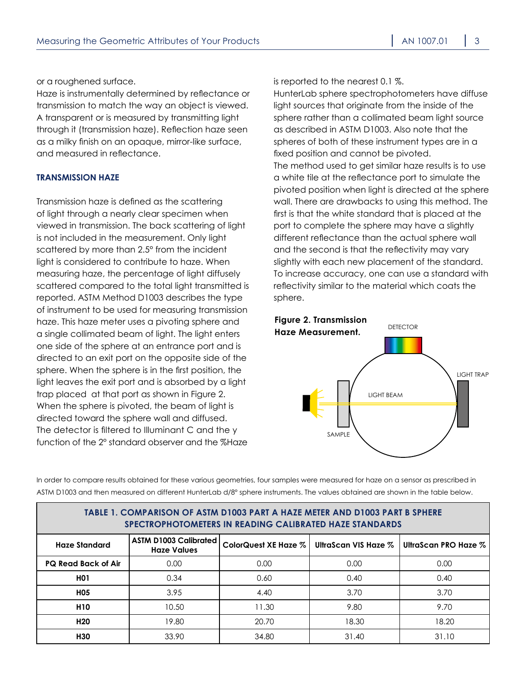or a roughened surface.

Haze is instrumentally determined by reflectance or transmission to match the way an object is viewed. A transparent or is measured by transmitting light through it (transmission haze). Reflection haze seen as a milky finish on an opaque, mirror-like surface, and measured in reflectance.

## **Transmission Haze**

Transmission haze is defined as the scattering of light through a nearly clear specimen when viewed in transmission. The back scattering of light is not included in the measurement. Only light scattered by more than 2.5° from the incident light is considered to contribute to haze. When measuring haze, the percentage of light diffusely scattered compared to the total light transmitted is reported. ASTM Method D1003 describes the type of instrument to be used for measuring transmission haze. This haze meter uses a pivoting sphere and a single collimated beam of light. The light enters one side of the sphere at an entrance port and is directed to an exit port on the opposite side of the sphere. When the sphere is in the first position, the light leaves the exit port and is absorbed by a light trap placed at that port as shown in Figure 2. When the sphere is pivoted, the beam of light is directed toward the sphere wall and diffused. The detector is filtered to Illuminant C and the y function of the 2° standard observer and the %Haze

is reported to the nearest 0.1 %.

HunterLab sphere spectrophotometers have diffuse light sources that originate from the inside of the sphere rather than a collimated beam light source as described in ASTM D1003. Also note that the spheres of both of these instrument types are in a fixed position and cannot be pivoted. The method used to get similar haze results is to use a white tile at the reflectance port to simulate the pivoted position when light is directed at the sphere wall. There are drawbacks to using this method. The first is that the white standard that is placed at the port to complete the sphere may have a slightly different reflectance than the actual sphere wall and the second is that the reflectivity may vary slightly with each new placement of the standard. To increase accuracy, one can use a standard with reflectivity similar to the material which coats the sphere.



In order to compare results obtained for these various geometries, four samples were measured for haze on a sensor as prescribed in ASTM D1003 and then measured on different HunterLab d/8° sphere instruments. The values obtained are shown in the table below.

| TABLE 1. COMPARISON OF ASTM D1003 PART A HAZE METER AND D1003 PART B SPHERE<br>SPECTROPHOTOMETERS IN READING CALIBRATED HAZE STANDARDS |                                                    |                                           |       |                      |  |
|----------------------------------------------------------------------------------------------------------------------------------------|----------------------------------------------------|-------------------------------------------|-------|----------------------|--|
| <b>Haze Standard</b>                                                                                                                   | <b>ASTM D1003 Calibrated</b><br><b>Haze Values</b> | ColorQuest XE Haze % UltraScan VIS Haze % |       | UltraScan PRO Haze % |  |
| <b>PQ Read Back of Air</b>                                                                                                             | 0.00                                               | 0.00                                      | 0.00  | 0.00                 |  |
| <b>HO1</b>                                                                                                                             | 0.34                                               | 0.60                                      | 0.40  | 0.40                 |  |
| <b>HO5</b>                                                                                                                             | 3.95                                               | 4.40                                      | 3.70  | 3.70                 |  |
| <b>H10</b>                                                                                                                             | 10.50                                              | 11.30                                     | 9.80  | 9.70                 |  |
| H <sub>20</sub>                                                                                                                        | 19.80                                              | 20.70                                     | 18.30 | 18.20                |  |
| H30                                                                                                                                    | 33.90                                              | 34.80                                     | 31.40 | 31.10                |  |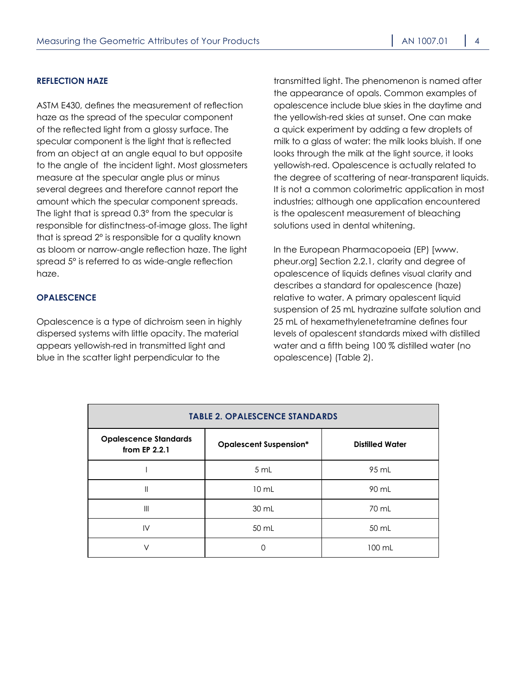#### **Reflection Haze**

ASTM E430, defines the measurement of reflection haze as the spread of the specular component of the reflected light from a glossy surface. The specular component is the light that is reflected from an object at an angle equal to but opposite to the angle of the incident light. Most glossmeters measure at the specular angle plus or minus several degrees and therefore cannot report the amount which the specular component spreads. The light that is spread 0.3° from the specular is responsible for distinctness-of-image gloss. The light that is spread 2° is responsible for a quality known as bloom or narrow-angle reflection haze. The light spread 5° is referred to as wide-angle reflection haze.

## **Opalescence**

Opalescence is a type of dichroism seen in highly dispersed systems with little opacity. The material appears yellowish-red in transmitted light and blue in the scatter light perpendicular to the

transmitted light. The phenomenon is named after the appearance of opals. Common examples of opalescence include blue skies in the daytime and the yellowish-red skies at sunset. One can make a quick experiment by adding a few droplets of milk to a glass of water: the milk looks bluish. If one looks through the milk at the light source, it looks yellowish-red. Opalescence is actually related to the degree of scattering of near-transparent liquids. It is not a common colorimetric application in most industries; although one application encountered is the opalescent measurement of bleaching solutions used in dental whitening.

In the European Pharmacopoeia (EP) [\[www.](http://www.pheur.org) [pheur.org](http://www.pheur.org)] Section 2.2.1, clarity and degree of opalescence of liquids defines visual clarity and describes a standard for opalescence (haze) relative to water. A primary opalescent liquid suspension of 25 mL hydrazine sulfate solution and 25 mL of hexamethylenetetramine defines four levels of opalescent standards mixed with distilled water and a fifth being 100 % distilled water (no opalescence) (Table 2).

| <b>TABLE 2. OPALESCENCE STANDARDS</b>         |                               |                        |  |  |
|-----------------------------------------------|-------------------------------|------------------------|--|--|
| <b>Opalescence Standards</b><br>from EP 2.2.1 | <b>Opalescent Suspension*</b> | <b>Distilled Water</b> |  |  |
|                                               | 5 mL                          | 95 mL                  |  |  |
| Ш                                             | $10 \mathrm{m}$ L             | 90 mL                  |  |  |
| $\mathsf{III}$                                | 30 mL                         | 70 mL                  |  |  |
| $\mathsf{IV}$                                 | 50 mL                         | 50 mL                  |  |  |
| V                                             |                               | 100 mL                 |  |  |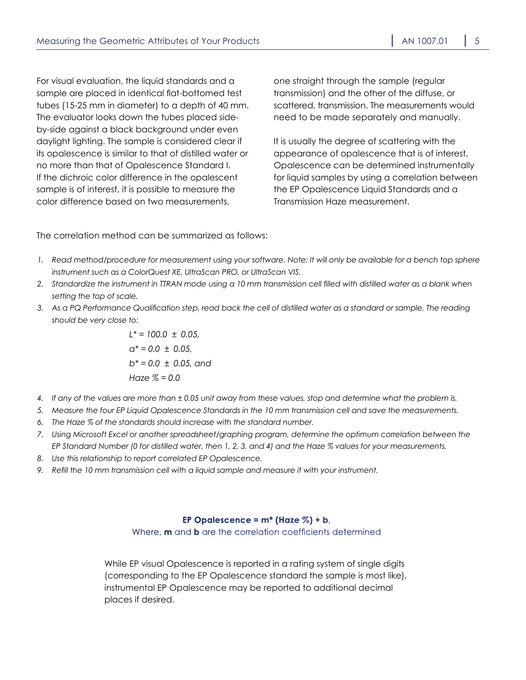For visual evaluation, the liquid standards and a sample are placed in identical flat-bottomed test tubes (15-25 mm in diameter) to a depth of 40 mm. The evaluator looks down the tubes placed sideby-side against a black background under even daylight lighting. The sample is considered clear if its opalescence is similar to that of distilled water or no more than that of Opalescence Standard I. If the dichroic color difference in the opalescent sample is of interest, it is possible to measure the color difference based on two measurements,

one straight through the sample (regular transmission) and the other of the diffuse, or scattered, transmission. The measurements would need to be made separately and manually.

It is usually the degree of scattering with the appearance of opalescence that is of interest. Opalescence can be determined instrumentally for liquid samples by using a correlation between the EP Opalescence Liquid Standards and a Transmission Haze measurement.

The correlation method can be summarized as follows:

- *1. Read method/procedure for measurement using your software. Note: It will only be available for a bench top sphere instrument such as a ColorQuest XE, UltraScan PRO, or UltraScan VIS.*
- *2. Standardize the instrument in TTRAN mode using a 10 mm transmission cell filled with distilled water as a blank when setting the top of scale.*
- *3. As a PQ Performance Qualification step, read back the cell of distilled water as a standard or sample. The reading should be very close to:*

 *L\* = 100.0 ± 0.05, a\* = 0.0 ± 0.05, b\* = 0.0 ± 0.05, and Haze % = 0.0*

- *4. If any of the values are more than ± 0.05 unit away from these values, stop and determine what the problem is.*
- *5. Measure the four EP Liquid Opalescence Standards in the 10 mm transmission cell and save the measurements.*
- *6. The Haze % of the standards should increase with the standard number.*
- *7. Using Microsoft Excel or another spreadsheet/graphing program, determine the optimum correlation between the EP Standard Number (0 for distilled water, then 1, 2, 3, and 4) and the Haze % values for your measurements.*
- *8. Use this relationship to report correlated EP Opalescence.*
- *9. Refill the 10 mm transmission cell with a liquid sample and measure it with your instrument.*

#### **EP** Opalescence =  $m^*$  (Haze  $\%$ ) + b,

Where, **m** and **b** are the correlation coefficients determined

While EP visual Opalescence is reported in a rating system of single digits (corresponding to the EP Opalescence standard the sample is most like), instrumental EP Opalescence may be reported to additional decimal places if desired.